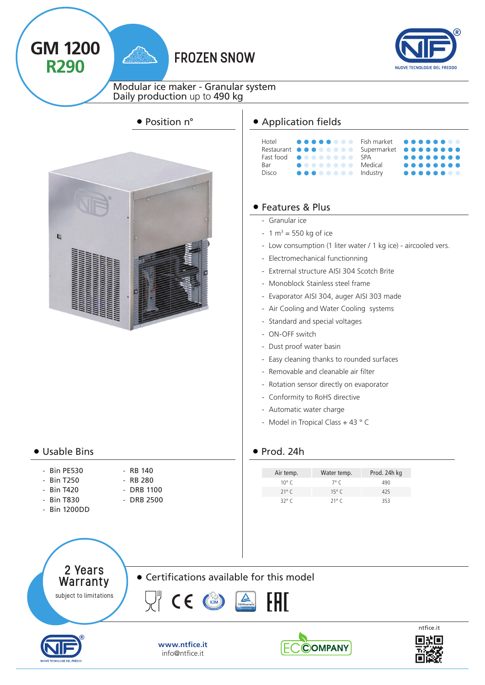# **R290** FROZEN SNOW



Modular ice maker - Granular system Daily production up to 490 kg



### Usable Bins

**GM 1200**

- Bin PE530
- Bin T250
- RB 140 - RB 280
- Bin T420 - Bin T830
- Bin 1200DD
- DRB 1100 - DRB 2500
- 

# ● Position n° <br>
→ Application fields



# Features & Plus

- Granular ice
- $-1 m<sup>3</sup> = 550 kg of ice$
- Low consumption (1 liter water / 1 kg ice) aircooled vers.
- Electromechanical functionning
- Extrernal structure AISI 304 Scotch Brite
- Monoblock Stainless steel frame
- Evaporator AISI 304, auger AISI 303 made
- Air Cooling and Water Cooling systems
- Standard and special voltages
- ON-OFF switch
- Dust proof water basin
- Easy cleaning thanks to rounded surfaces
- Removable and cleanable air filter
- Rotation sensor directly on evaporator
- Conformity to RoHS directive
- Automatic water charge
- Model in Tropical Class + 43 °C

### $\bullet$  Prod. 24h

| Air temp.      | Water temp.    | Prod. 24h kg |
|----------------|----------------|--------------|
| 10° C          | $7^{\circ}$ C  | 490          |
| $21^{\circ}$ C | 15 $\degree$ C | 425          |
| 32° C          | $21^{\circ}$ C | 353          |

2 Years Warranty subject to limitations

Certifications available for this model